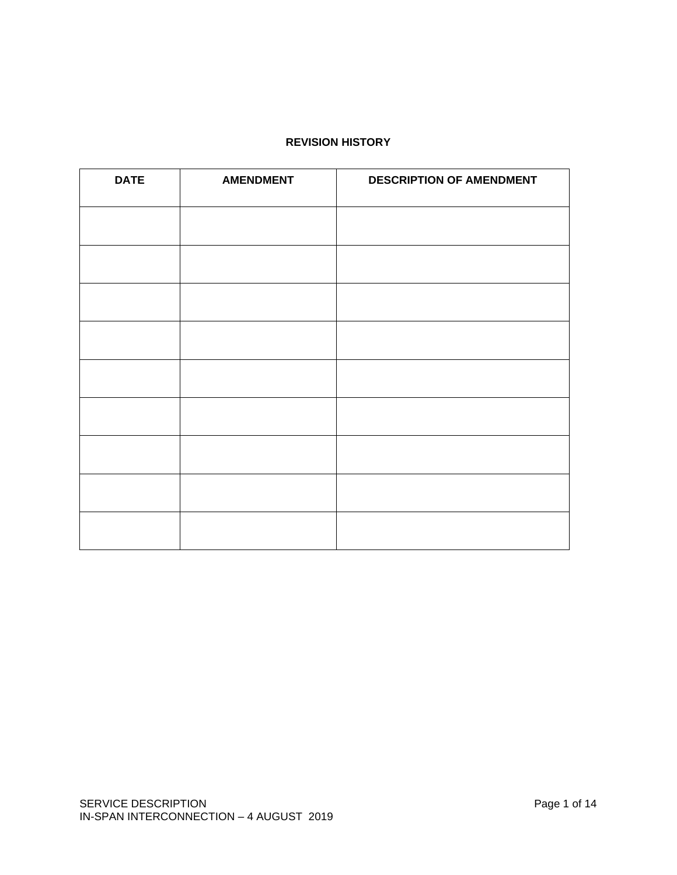# **REVISION HISTORY**

| <b>DATE</b> | <b>AMENDMENT</b> | <b>DESCRIPTION OF AMENDMENT</b> |  |
|-------------|------------------|---------------------------------|--|
|             |                  |                                 |  |
|             |                  |                                 |  |
|             |                  |                                 |  |
|             |                  |                                 |  |
|             |                  |                                 |  |
|             |                  |                                 |  |
|             |                  |                                 |  |
|             |                  |                                 |  |
|             |                  |                                 |  |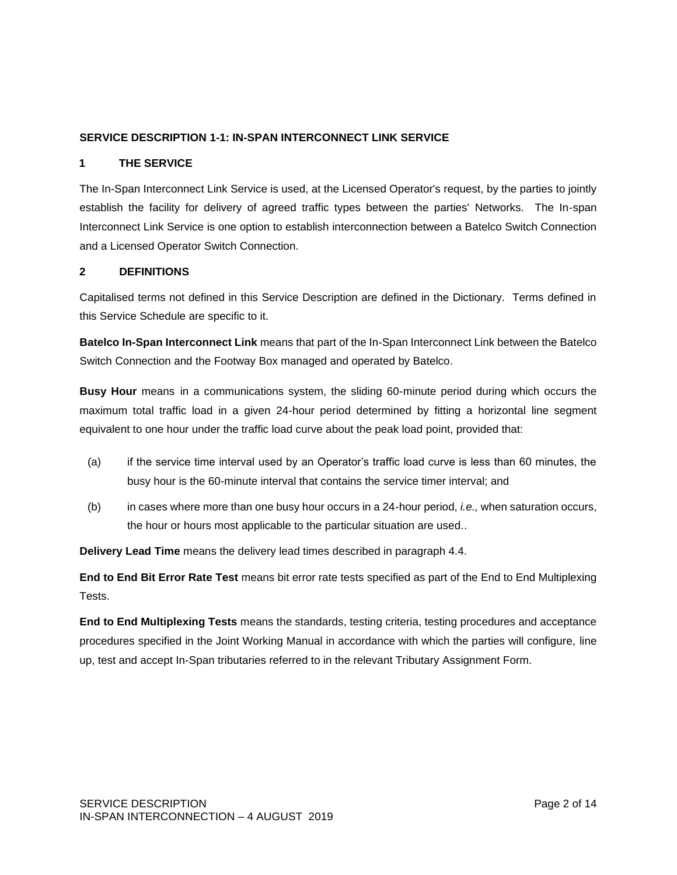### **SERVICE DESCRIPTION 1-1: IN-SPAN INTERCONNECT LINK SERVICE**

#### **1 THE SERVICE**

The In-Span Interconnect Link Service is used, at the Licensed Operator's request, by the parties to jointly establish the facility for delivery of agreed traffic types between the parties' Networks. The In-span Interconnect Link Service is one option to establish interconnection between a Batelco Switch Connection and a Licensed Operator Switch Connection.

#### **2 DEFINITIONS**

Capitalised terms not defined in this Service Description are defined in the Dictionary. Terms defined in this Service Schedule are specific to it.

**Batelco In-Span Interconnect Link** means that part of the In-Span Interconnect Link between the Batelco Switch Connection and the Footway Box managed and operated by Batelco.

**Busy Hour** means in a communications system, the sliding 60-minute period during which occurs the maximum total traffic load in a given 24-hour period determined by fitting a horizontal line segment equivalent to one hour under the traffic load curve about the peak load point, provided that:

- (a) if the service time interval used by an Operator's traffic load curve is less than 60 minutes, the busy hour is the 60-minute interval that contains the service timer interval; and
- (b) in cases where more than one busy hour occurs in a 24-hour period, *i.e.,* when saturation occurs, the hour or hours most applicable to the particular situation are used..

**Delivery Lead Time** means the delivery lead times described in paragraph 4.4.

**End to End Bit Error Rate Test** means bit error rate tests specified as part of the End to End Multiplexing Tests.

**End to End Multiplexing Tests** means the standards, testing criteria, testing procedures and acceptance procedures specified in the Joint Working Manual in accordance with which the parties will configure, line up, test and accept In-Span tributaries referred to in the relevant Tributary Assignment Form.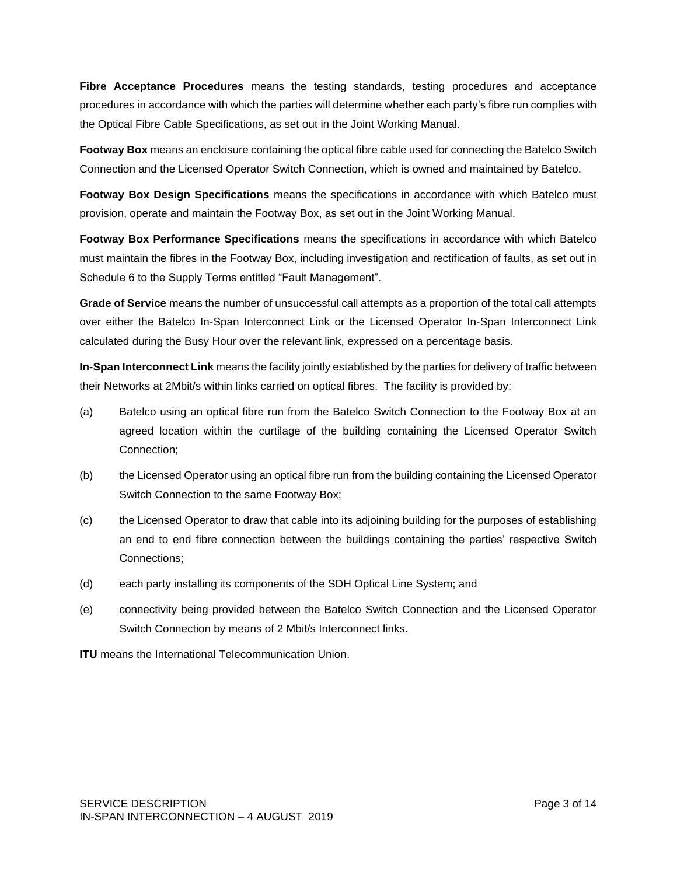**Fibre Acceptance Procedures** means the testing standards, testing procedures and acceptance procedures in accordance with which the parties will determine whether each party's fibre run complies with the Optical Fibre Cable Specifications, as set out in the Joint Working Manual.

**Footway Box** means an enclosure containing the optical fibre cable used for connecting the Batelco Switch Connection and the Licensed Operator Switch Connection, which is owned and maintained by Batelco.

**Footway Box Design Specifications** means the specifications in accordance with which Batelco must provision, operate and maintain the Footway Box, as set out in the Joint Working Manual.

**Footway Box Performance Specifications** means the specifications in accordance with which Batelco must maintain the fibres in the Footway Box, including investigation and rectification of faults, as set out in Schedule 6 to the Supply Terms entitled "Fault Management".

**Grade of Service** means the number of unsuccessful call attempts as a proportion of the total call attempts over either the Batelco In-Span Interconnect Link or the Licensed Operator In-Span Interconnect Link calculated during the Busy Hour over the relevant link, expressed on a percentage basis.

**In-Span Interconnect Link** means the facility jointly established by the parties for delivery of traffic between their Networks at 2Mbit/s within links carried on optical fibres. The facility is provided by:

- (a) Batelco using an optical fibre run from the Batelco Switch Connection to the Footway Box at an agreed location within the curtilage of the building containing the Licensed Operator Switch Connection;
- (b) the Licensed Operator using an optical fibre run from the building containing the Licensed Operator Switch Connection to the same Footway Box;
- (c) the Licensed Operator to draw that cable into its adjoining building for the purposes of establishing an end to end fibre connection between the buildings containing the parties' respective Switch Connections;
- (d) each party installing its components of the SDH Optical Line System; and
- (e) connectivity being provided between the Batelco Switch Connection and the Licensed Operator Switch Connection by means of 2 Mbit/s Interconnect links.

**ITU** means the International Telecommunication Union.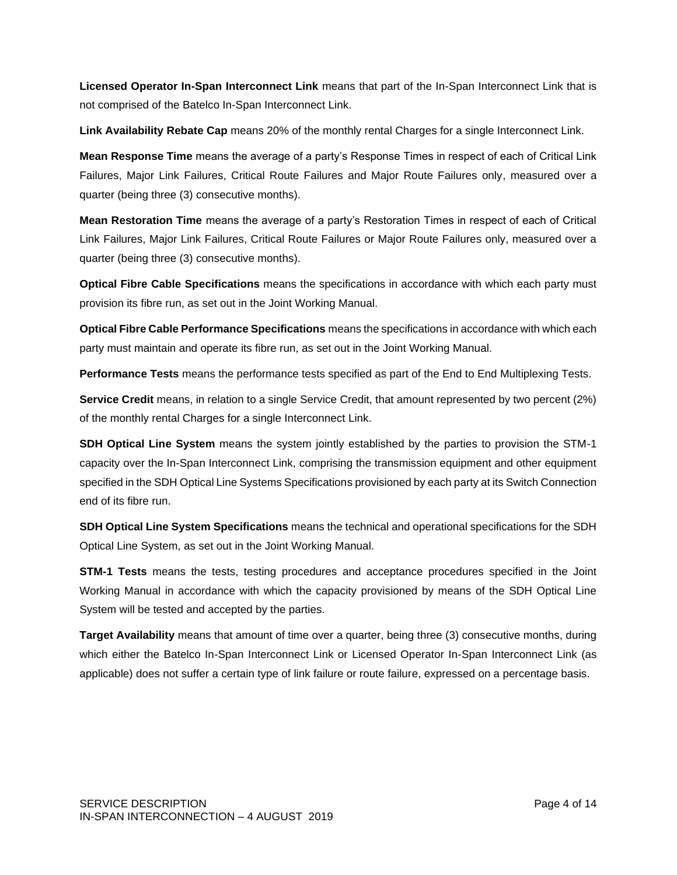**Licensed Operator In-Span Interconnect Link** means that part of the In-Span Interconnect Link that is not comprised of the Batelco In-Span Interconnect Link.

**Link Availability Rebate Cap** means 20% of the monthly rental Charges for a single Interconnect Link.

**Mean Response Time** means the average of a party's Response Times in respect of each of Critical Link Failures, Major Link Failures, Critical Route Failures and Major Route Failures only, measured over a quarter (being three (3) consecutive months).

**Mean Restoration Time** means the average of a party's Restoration Times in respect of each of Critical Link Failures, Major Link Failures, Critical Route Failures or Major Route Failures only, measured over a quarter (being three (3) consecutive months).

**Optical Fibre Cable Specifications** means the specifications in accordance with which each party must provision its fibre run, as set out in the Joint Working Manual.

**Optical Fibre Cable Performance Specifications** means the specifications in accordance with which each party must maintain and operate its fibre run, as set out in the Joint Working Manual.

**Performance Tests** means the performance tests specified as part of the End to End Multiplexing Tests.

**Service Credit** means, in relation to a single Service Credit, that amount represented by two percent (2%) of the monthly rental Charges for a single Interconnect Link.

**SDH Optical Line System** means the system jointly established by the parties to provision the STM-1 capacity over the In-Span Interconnect Link, comprising the transmission equipment and other equipment specified in the SDH Optical Line Systems Specifications provisioned by each party at its Switch Connection end of its fibre run.

**SDH Optical Line System Specifications** means the technical and operational specifications for the SDH Optical Line System, as set out in the Joint Working Manual.

**STM-1 Tests** means the tests, testing procedures and acceptance procedures specified in the Joint Working Manual in accordance with which the capacity provisioned by means of the SDH Optical Line System will be tested and accepted by the parties.

**Target Availability** means that amount of time over a quarter, being three (3) consecutive months, during which either the Batelco In-Span Interconnect Link or Licensed Operator In-Span Interconnect Link (as applicable) does not suffer a certain type of link failure or route failure, expressed on a percentage basis.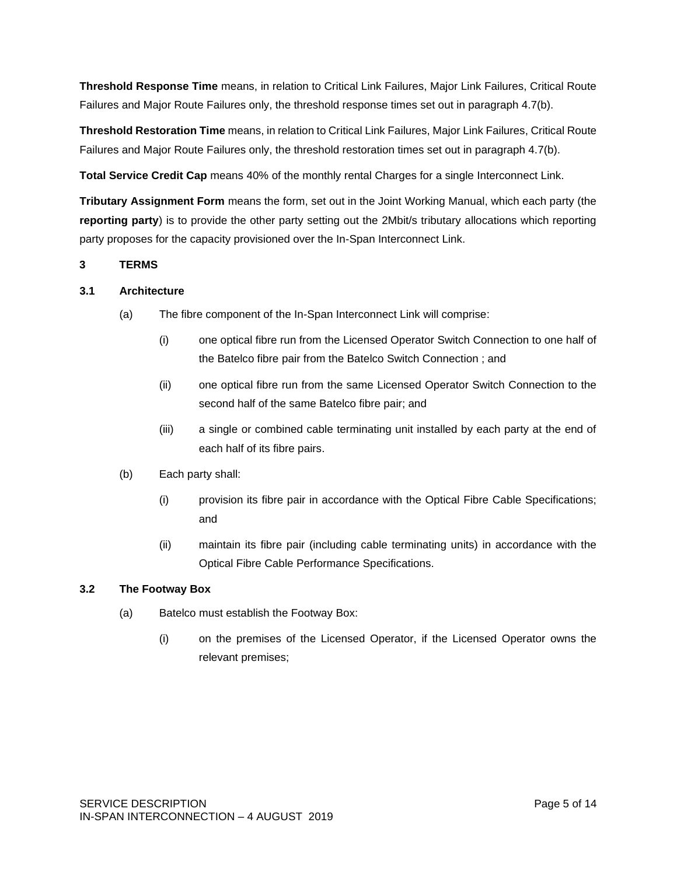**Threshold Response Time** means, in relation to Critical Link Failures, Major Link Failures, Critical Route Failures and Major Route Failures only, the threshold response times set out in paragraph 4.7(b).

**Threshold Restoration Time** means, in relation to Critical Link Failures, Major Link Failures, Critical Route Failures and Major Route Failures only, the threshold restoration times set out in paragraph 4.7(b).

**Total Service Credit Cap** means 40% of the monthly rental Charges for a single Interconnect Link.

**Tributary Assignment Form** means the form, set out in the Joint Working Manual, which each party (the **reporting party**) is to provide the other party setting out the 2Mbit/s tributary allocations which reporting party proposes for the capacity provisioned over the In-Span Interconnect Link.

## **3 TERMS**

## **3.1 Architecture**

- (a) The fibre component of the In-Span Interconnect Link will comprise:
	- (i) one optical fibre run from the Licensed Operator Switch Connection to one half of the Batelco fibre pair from the Batelco Switch Connection ; and
	- (ii) one optical fibre run from the same Licensed Operator Switch Connection to the second half of the same Batelco fibre pair; and
	- (iii) a single or combined cable terminating unit installed by each party at the end of each half of its fibre pairs.
- (b) Each party shall:
	- (i) provision its fibre pair in accordance with the Optical Fibre Cable Specifications; and
	- (ii) maintain its fibre pair (including cable terminating units) in accordance with the Optical Fibre Cable Performance Specifications.

### **3.2 The Footway Box**

- (a) Batelco must establish the Footway Box:
	- (i) on the premises of the Licensed Operator, if the Licensed Operator owns the relevant premises;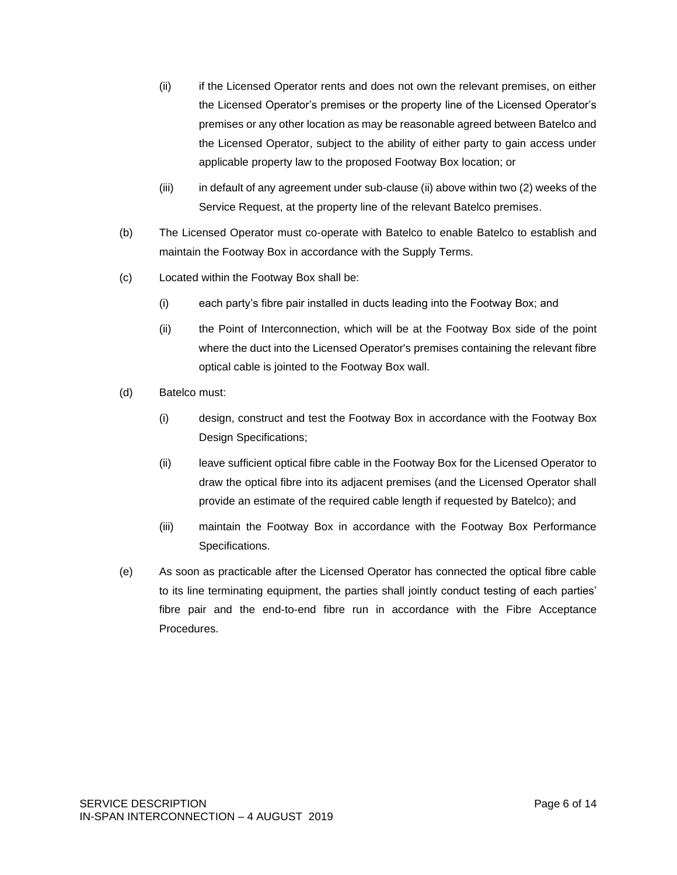- (ii) if the Licensed Operator rents and does not own the relevant premises, on either the Licensed Operator's premises or the property line of the Licensed Operator's premises or any other location as may be reasonable agreed between Batelco and the Licensed Operator, subject to the ability of either party to gain access under applicable property law to the proposed Footway Box location; or
- (iii) in default of any agreement under sub-clause (ii) above within two (2) weeks of the Service Request, at the property line of the relevant Batelco premises.
- (b) The Licensed Operator must co-operate with Batelco to enable Batelco to establish and maintain the Footway Box in accordance with the Supply Terms.
- (c) Located within the Footway Box shall be:
	- (i) each party's fibre pair installed in ducts leading into the Footway Box; and
	- (ii) the Point of Interconnection, which will be at the Footway Box side of the point where the duct into the Licensed Operator's premises containing the relevant fibre optical cable is jointed to the Footway Box wall.
- (d) Batelco must:
	- (i) design, construct and test the Footway Box in accordance with the Footway Box Design Specifications;
	- (ii) leave sufficient optical fibre cable in the Footway Box for the Licensed Operator to draw the optical fibre into its adjacent premises (and the Licensed Operator shall provide an estimate of the required cable length if requested by Batelco); and
	- (iii) maintain the Footway Box in accordance with the Footway Box Performance Specifications.
- (e) As soon as practicable after the Licensed Operator has connected the optical fibre cable to its line terminating equipment, the parties shall jointly conduct testing of each parties' fibre pair and the end-to-end fibre run in accordance with the Fibre Acceptance **Procedures**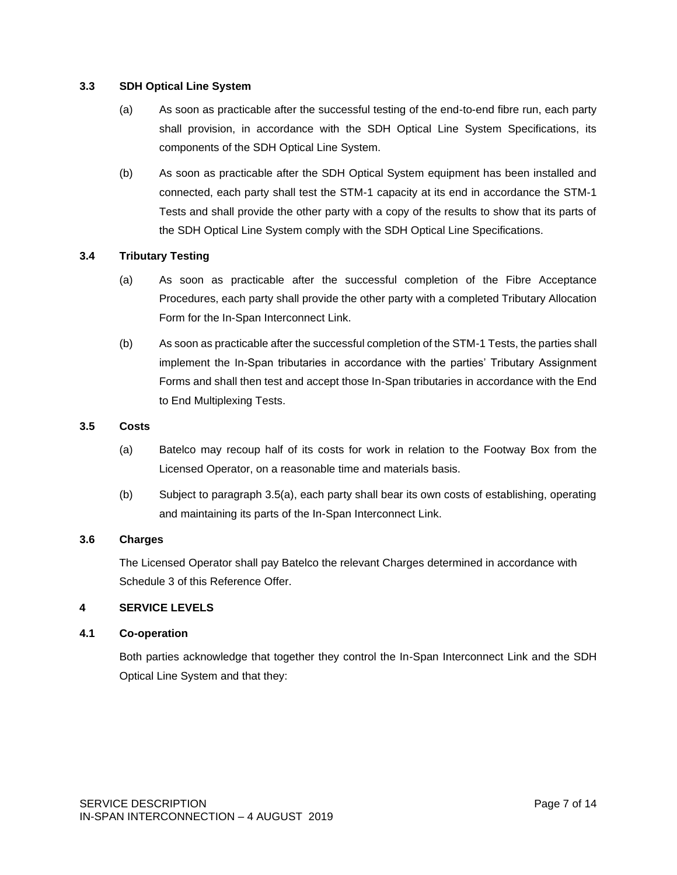#### **3.3 SDH Optical Line System**

- (a) As soon as practicable after the successful testing of the end-to-end fibre run, each party shall provision, in accordance with the SDH Optical Line System Specifications, its components of the SDH Optical Line System.
- (b) As soon as practicable after the SDH Optical System equipment has been installed and connected, each party shall test the STM-1 capacity at its end in accordance the STM-1 Tests and shall provide the other party with a copy of the results to show that its parts of the SDH Optical Line System comply with the SDH Optical Line Specifications.

### **3.4 Tributary Testing**

- (a) As soon as practicable after the successful completion of the Fibre Acceptance Procedures, each party shall provide the other party with a completed Tributary Allocation Form for the In-Span Interconnect Link.
- (b) As soon as practicable after the successful completion of the STM-1 Tests, the parties shall implement the In-Span tributaries in accordance with the parties' Tributary Assignment Forms and shall then test and accept those In-Span tributaries in accordance with the End to End Multiplexing Tests.

#### **3.5 Costs**

- (a) Batelco may recoup half of its costs for work in relation to the Footway Box from the Licensed Operator, on a reasonable time and materials basis.
- (b) Subject to paragraph 3.5(a), each party shall bear its own costs of establishing, operating and maintaining its parts of the In-Span Interconnect Link.

### **3.6 Charges**

The Licensed Operator shall pay Batelco the relevant Charges determined in accordance with Schedule 3 of this Reference Offer.

## **4 SERVICE LEVELS**

#### **4.1 Co-operation**

Both parties acknowledge that together they control the In-Span Interconnect Link and the SDH Optical Line System and that they: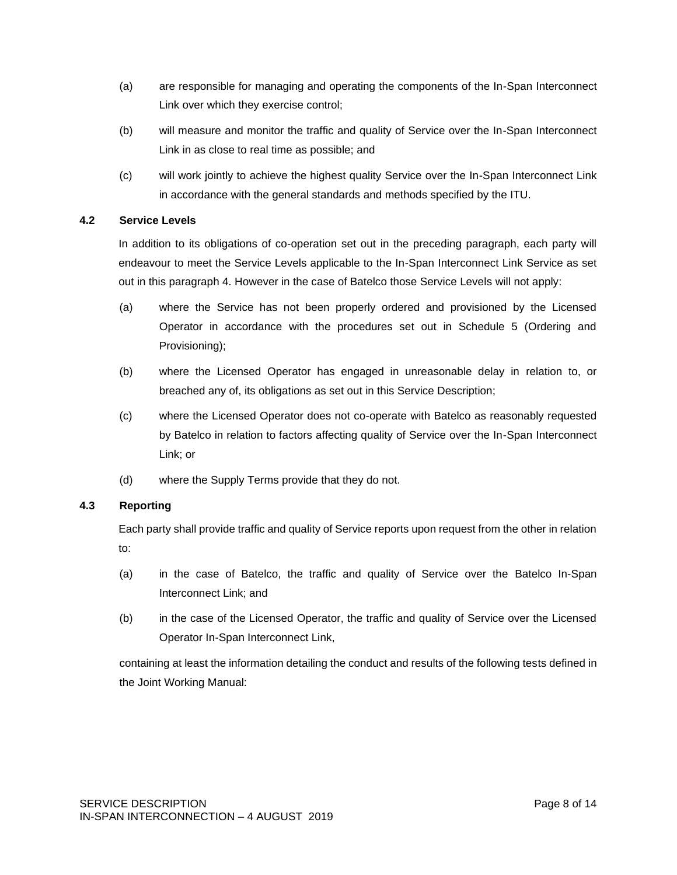- (a) are responsible for managing and operating the components of the In-Span Interconnect Link over which they exercise control;
- (b) will measure and monitor the traffic and quality of Service over the In-Span Interconnect Link in as close to real time as possible; and
- (c) will work jointly to achieve the highest quality Service over the In-Span Interconnect Link in accordance with the general standards and methods specified by the ITU.

### **4.2 Service Levels**

In addition to its obligations of co-operation set out in the preceding paragraph, each party will endeavour to meet the Service Levels applicable to the In-Span Interconnect Link Service as set out in this paragraph 4. However in the case of Batelco those Service Levels will not apply:

- (a) where the Service has not been properly ordered and provisioned by the Licensed Operator in accordance with the procedures set out in Schedule 5 (Ordering and Provisioning);
- (b) where the Licensed Operator has engaged in unreasonable delay in relation to, or breached any of, its obligations as set out in this Service Description;
- (c) where the Licensed Operator does not co-operate with Batelco as reasonably requested by Batelco in relation to factors affecting quality of Service over the In-Span Interconnect Link; or
- (d) where the Supply Terms provide that they do not.

### **4.3 Reporting**

Each party shall provide traffic and quality of Service reports upon request from the other in relation to:

- (a) in the case of Batelco, the traffic and quality of Service over the Batelco In-Span Interconnect Link; and
- (b) in the case of the Licensed Operator, the traffic and quality of Service over the Licensed Operator In-Span Interconnect Link,

containing at least the information detailing the conduct and results of the following tests defined in the Joint Working Manual: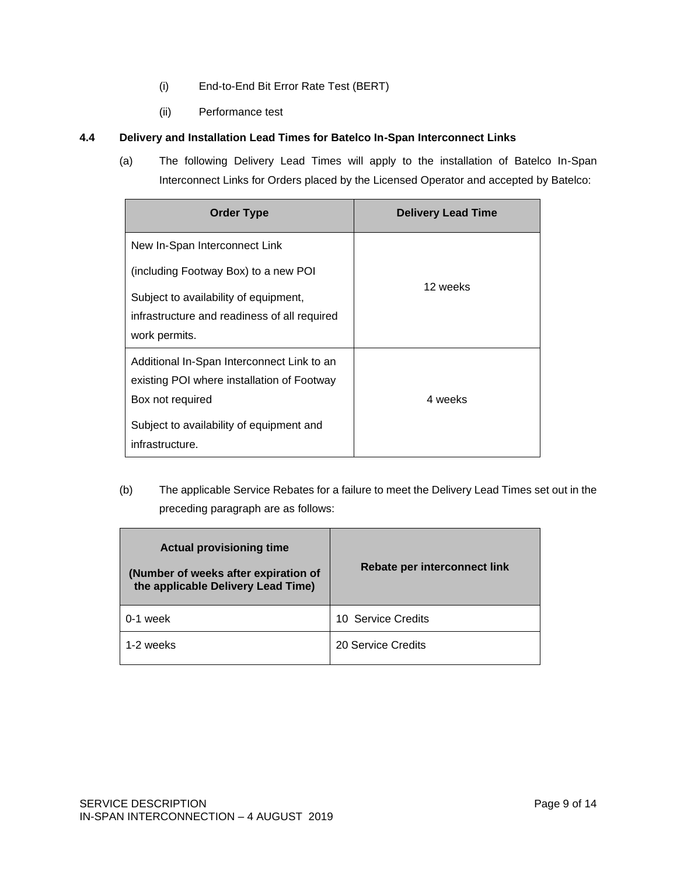- (i) End-to-End Bit Error Rate Test (BERT)
- (ii) Performance test

## **4.4 Delivery and Installation Lead Times for Batelco In-Span Interconnect Links**

(a) The following Delivery Lead Times will apply to the installation of Batelco In-Span Interconnect Links for Orders placed by the Licensed Operator and accepted by Batelco:

| <b>Order Type</b>                            | <b>Delivery Lead Time</b> |  |
|----------------------------------------------|---------------------------|--|
| New In-Span Interconnect Link                |                           |  |
| (including Footway Box) to a new POI         |                           |  |
| Subject to availability of equipment,        | 12 weeks                  |  |
| infrastructure and readiness of all required |                           |  |
| work permits.                                |                           |  |
| Additional In-Span Interconnect Link to an   |                           |  |
| existing POI where installation of Footway   |                           |  |
| Box not required                             | 4 weeks                   |  |
| Subject to availability of equipment and     |                           |  |
| infrastructure.                              |                           |  |

(b) The applicable Service Rebates for a failure to meet the Delivery Lead Times set out in the preceding paragraph are as follows:

| <b>Actual provisioning time</b><br>(Number of weeks after expiration of<br>the applicable Delivery Lead Time) | Rebate per interconnect link |  |
|---------------------------------------------------------------------------------------------------------------|------------------------------|--|
| 0-1 week                                                                                                      | 10 Service Credits           |  |
| 1-2 weeks                                                                                                     | 20 Service Credits           |  |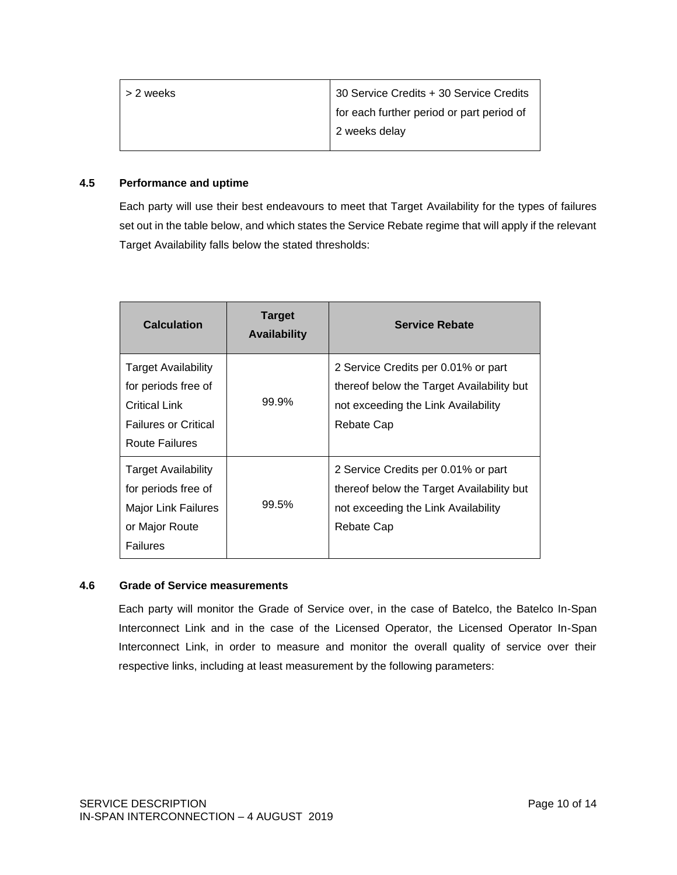| > 2 weeks | 30 Service Credits + 30 Service Credits   |  |
|-----------|-------------------------------------------|--|
|           | for each further period or part period of |  |
|           | 2 weeks delay                             |  |
|           |                                           |  |

## **4.5 Performance and uptime**

Each party will use their best endeavours to meet that Target Availability for the types of failures set out in the table below, and which states the Service Rebate regime that will apply if the relevant Target Availability falls below the stated thresholds:

| <b>Calculation</b>                                                                                                  | <b>Target</b><br><b>Availability</b> | <b>Service Rebate</b>                                                                                                                 |
|---------------------------------------------------------------------------------------------------------------------|--------------------------------------|---------------------------------------------------------------------------------------------------------------------------------------|
| Target Availability<br>for periods free of<br><b>Critical Link</b><br><b>Failures or Critical</b><br>Route Failures | 99.9%                                | 2 Service Credits per 0.01% or part<br>thereof below the Target Availability but<br>not exceeding the Link Availability<br>Rebate Cap |
| Target Availability<br>for periods free of<br>Major Link Failures<br>or Major Route<br><b>Failures</b>              | 99.5%                                | 2 Service Credits per 0.01% or part<br>thereof below the Target Availability but<br>not exceeding the Link Availability<br>Rebate Cap |

#### **4.6 Grade of Service measurements**

Each party will monitor the Grade of Service over, in the case of Batelco, the Batelco In-Span Interconnect Link and in the case of the Licensed Operator, the Licensed Operator In-Span Interconnect Link, in order to measure and monitor the overall quality of service over their respective links, including at least measurement by the following parameters: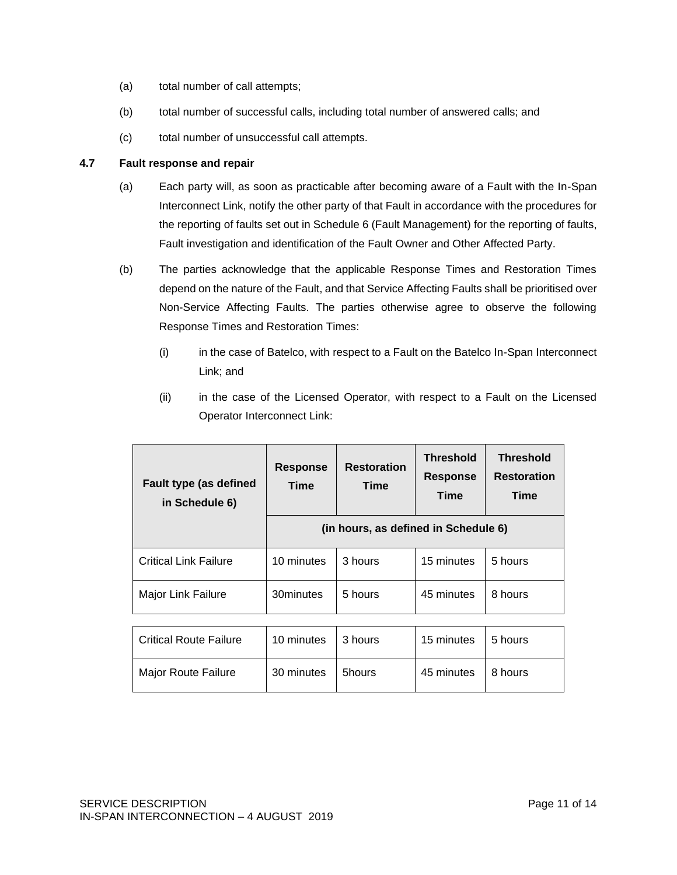- (a) total number of call attempts;
- (b) total number of successful calls, including total number of answered calls; and
- (c) total number of unsuccessful call attempts.

### **4.7 Fault response and repair**

- (a) Each party will, as soon as practicable after becoming aware of a Fault with the In-Span Interconnect Link, notify the other party of that Fault in accordance with the procedures for the reporting of faults set out in Schedule 6 (Fault Management) for the reporting of faults, Fault investigation and identification of the Fault Owner and Other Affected Party.
- (b) The parties acknowledge that the applicable Response Times and Restoration Times depend on the nature of the Fault, and that Service Affecting Faults shall be prioritised over Non-Service Affecting Faults. The parties otherwise agree to observe the following Response Times and Restoration Times:
	- (i) in the case of Batelco, with respect to a Fault on the Batelco In-Span Interconnect Link; and
	- (ii) in the case of the Licensed Operator, with respect to a Fault on the Licensed Operator Interconnect Link:

| <b>Fault type (as defined</b><br>in Schedule 6) | <b>Response</b><br><b>Time</b>       | <b>Restoration</b><br>Time | <b>Threshold</b><br><b>Response</b><br><b>Time</b> | <b>Threshold</b><br><b>Restoration</b><br>Time |
|-------------------------------------------------|--------------------------------------|----------------------------|----------------------------------------------------|------------------------------------------------|
|                                                 | (in hours, as defined in Schedule 6) |                            |                                                    |                                                |
| <b>Critical Link Failure</b>                    | 10 minutes                           | 3 hours                    | 15 minutes                                         | 5 hours                                        |
| Major Link Failure                              | 30minutes                            | 5 hours                    | 45 minutes                                         | 8 hours                                        |

| <b>Critical Route Failure</b> | 10 minutes   3 hours |        | 15 minutes | ∣5 hours |
|-------------------------------|----------------------|--------|------------|----------|
| Major Route Failure           | 30 minutes           | 5hours | 45 minutes | 8 hours  |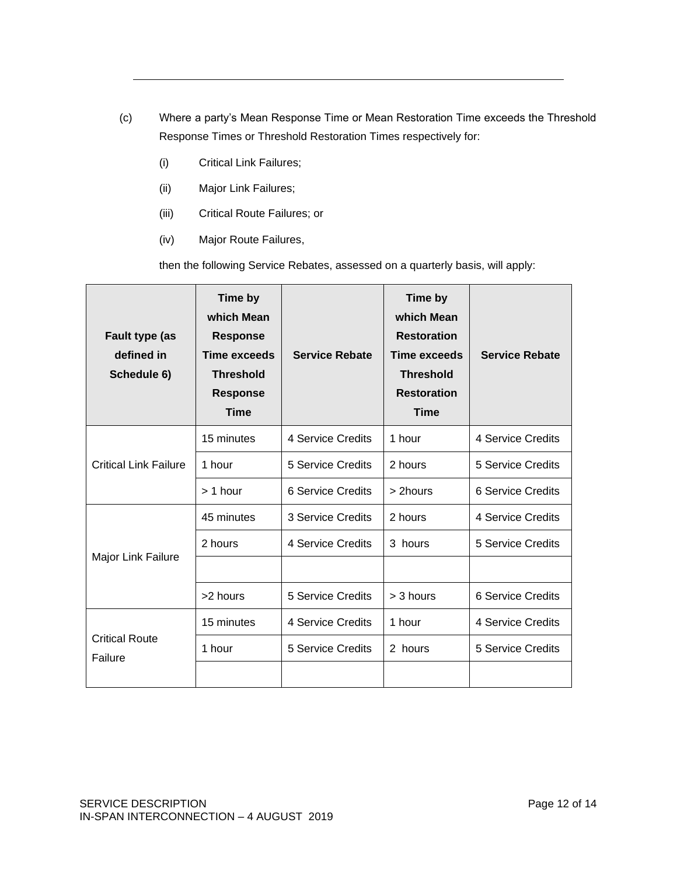- (c) Where a party's Mean Response Time or Mean Restoration Time exceeds the Threshold Response Times or Threshold Restoration Times respectively for:
	- (i) Critical Link Failures;
	- (ii) Major Link Failures;
	- (iii) Critical Route Failures; or
	- (iv) Major Route Failures,

then the following Service Rebates, assessed on a quarterly basis, will apply:

| Fault type (as<br>defined in<br>Schedule 6) | Time by<br>which Mean<br><b>Response</b><br><b>Time exceeds</b><br><b>Threshold</b><br><b>Response</b><br><b>Time</b> | <b>Service Rebate</b>    | Time by<br>which Mean<br><b>Restoration</b><br><b>Time exceeds</b><br><b>Threshold</b><br><b>Restoration</b><br><b>Time</b> | <b>Service Rebate</b>    |
|---------------------------------------------|-----------------------------------------------------------------------------------------------------------------------|--------------------------|-----------------------------------------------------------------------------------------------------------------------------|--------------------------|
|                                             | 15 minutes                                                                                                            | 4 Service Credits        | 1 hour                                                                                                                      | 4 Service Credits        |
| <b>Critical Link Failure</b>                | 1 hour                                                                                                                | 5 Service Credits        | 2 hours                                                                                                                     | <b>5 Service Credits</b> |
|                                             | $> 1$ hour                                                                                                            | 6 Service Credits        | > 2hours                                                                                                                    | 6 Service Credits        |
| Major Link Failure                          | 45 minutes                                                                                                            | 3 Service Credits        | 2 hours                                                                                                                     | 4 Service Credits        |
|                                             | 2 hours                                                                                                               | 4 Service Credits        | 3 hours                                                                                                                     | 5 Service Credits        |
|                                             |                                                                                                                       |                          |                                                                                                                             |                          |
|                                             | >2 hours                                                                                                              | <b>5 Service Credits</b> | $>$ 3 hours                                                                                                                 | <b>6 Service Credits</b> |
| <b>Critical Route</b><br>Failure            | 15 minutes                                                                                                            | 4 Service Credits        | 1 hour                                                                                                                      | 4 Service Credits        |
|                                             | 1 hour                                                                                                                | <b>5 Service Credits</b> | 2 hours                                                                                                                     | 5 Service Credits        |
|                                             |                                                                                                                       |                          |                                                                                                                             |                          |